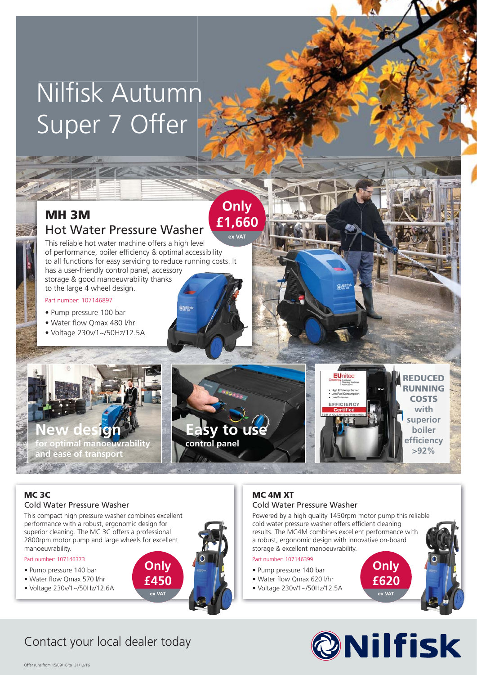# Nilfisk Autumn Super 7 Offer

## **MH 3M** Hot Water Pressure Washer

This reliable hot water machine offers a high level of performance, boiler efficiency & optimal accessibility to all functions for easy servicing to reduce running costs. It has a user-friendly control panel, accessory storage & good manoeuvrability thanks to the large 4 wheel design.

#### Part number: 107146897

- Pump pressure 100 bar
- Water flow Omax 480 l/hr
- Voltage 230v/1~/50Hz/12.5A



**Only £1,660 ex VAT**

#### **MC 3C** Cold Water Pressure Washer

This compact high pressure washer combines excellent performance with a robust, ergonomic design for superior cleaning. The MC 3C offers a professional 2800rpm motor pump and large wheels for excellent manoeuvrability.

> **Only £450 ex VAT**

#### Part number: 107146373

- Pump pressure 140 bar
- Water flow Qmax 570 l/hr
- Voltage 230v/1~/50Hz/12.6A

#### **MC 4M XT** Cold Water Pressure Washer

Powered by a high quality 1450rpm motor pump this reliable cold water pressure washer offers efficient cleaning results. The MC4M combines excellent performance with a robust, ergonomic design with innovative on-board storage & excellent manoeuvrability.

#### Part number: 107146399

- Pump pressure 140 bar
- Water flow Qmax 620 l/hr
- Voltage 230v/1~/50Hz/12.5A



**Only £620 ex VAT**

## Contact your local dealer today